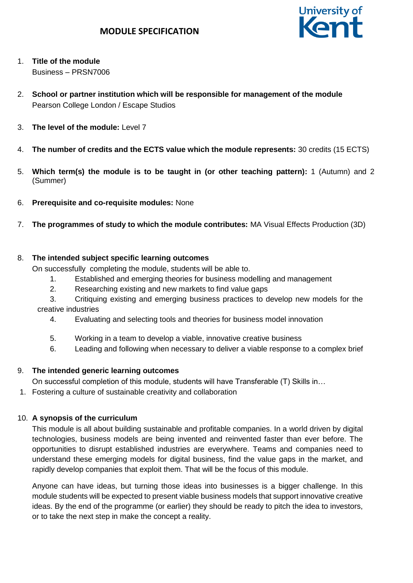

- 1. **Title of the module** Business – PRSN7006
- 2. **School or partner institution which will be responsible for management of the module** Pearson College London / Escape Studios
- 3. **The level of the module:** Level 7
- 4. **The number of credits and the ECTS value which the module represents:** 30 credits (15 ECTS)
- 5. **Which term(s) the module is to be taught in (or other teaching pattern):** 1 (Autumn) and 2 (Summer)
- 6. **Prerequisite and co-requisite modules:** None
- 7. **The programmes of study to which the module contributes:** MA Visual Effects Production (3D)

#### 8. **The intended subject specific learning outcomes**

On successfully completing the module, students will be able to.

- 1. Established and emerging theories for business modelling and management
- 2. Researching existing and new markets to find value gaps
- 3. Critiquing existing and emerging business practices to develop new models for the creative industries
	- 4. Evaluating and selecting tools and theories for business model innovation
	- 5. Working in a team to develop a viable, innovative creative business
	- 6. Leading and following when necessary to deliver a viable response to a complex brief

# 9. **The intended generic learning outcomes**

On successful completion of this module, students will have Transferable (T) Skills in…

1. Fostering a culture of sustainable creativity and collaboration

# 10. **A synopsis of the curriculum**

This module is all about building sustainable and profitable companies. In a world driven by digital technologies, business models are being invented and reinvented faster than ever before. The opportunities to disrupt established industries are everywhere. Teams and companies need to understand these emerging models for digital business, find the value gaps in the market, and rapidly develop companies that exploit them. That will be the focus of this module.

Anyone can have ideas, but turning those ideas into businesses is a bigger challenge. In this module students will be expected to present viable business models that support innovative creative ideas. By the end of the programme (or earlier) they should be ready to pitch the idea to investors, or to take the next step in make the concept a reality.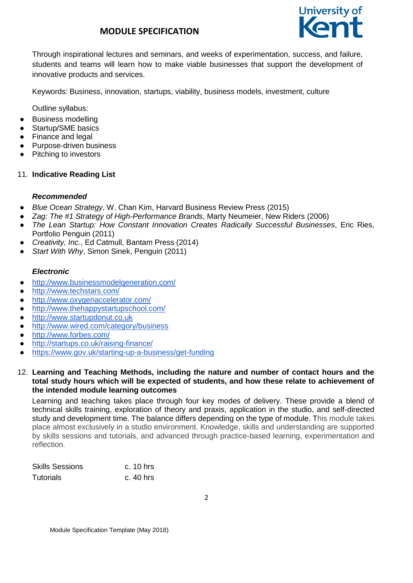# **MODULE SPECIFICATION**



Through inspirational lectures and seminars, and weeks of experimentation, success, and failure, students and teams will learn how to make viable businesses that support the development of innovative products and services.

Keywords: Business, innovation, startups, viability, business models, investment, culture

Outline syllabus:

- Business modelling
- Startup/SME basics
- Finance and legal
- Purpose-driven business
- Pitching to investors

#### 11. **Indicative Reading List**

#### *Recommended*

- *Blue Ocean Strategy*, W. Chan Kim, Harvard Business Review Press (2015)
- *Zag: The #1 Strategy of High-Performance Brands*, Marty Neumeier, New Riders (2006)
- *The Lean Startup: How Constant Innovation Creates Radically Successful Businesses*, Eric Ries, Portfolio Penguin (2011)
- *Creativity, Inc.*, Ed Catmull, Bantam Press (2014)
- Start With Why, Simon Sinek, Penguin (2011)

#### *Electronic*

- <http://www.businessmodelgeneration.com/>
- <http://www.techstars.com/>
- <http://www.oxygenaccelerator.com/>
- <http://www.thehappystartupschool.com/>
- [http://www.startupdonut.co.uk](http://www.startupdonut.co.uk/)
- <http://www.wired.com/category/business>
- <http://www.forbes.com/>
- <http://startups.co.uk/raising-finance/>
- <https://www.gov.uk/starting-up-a-business/get-funding>

#### 12. **Learning and Teaching Methods, including the nature and number of contact hours and the total study hours which will be expected of students, and how these relate to achievement of the intended module learning outcomes**

Learning and teaching takes place through four key modes of delivery. These provide a blend of technical skills training, exploration of theory and praxis, application in the studio, and self-directed study and development time. The balance differs depending on the type of module. This module takes place almost exclusively in a studio environment. Knowledge, skills and understanding are supported by skills sessions and tutorials, and advanced through practice-based learning, experimentation and reflection.

| Skills Sessions | c. $10$ hrs |
|-----------------|-------------|
| Tutorials       | c. $40$ hrs |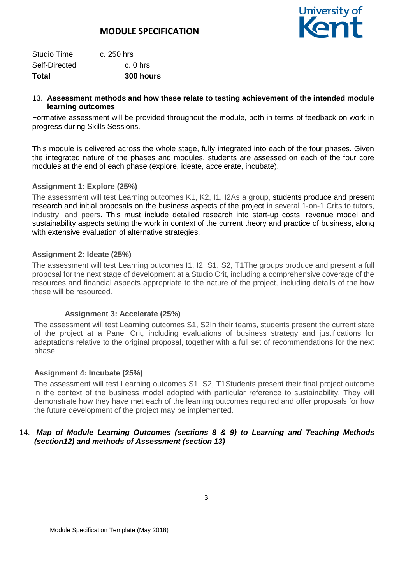

| Total         | 300 hours  |
|---------------|------------|
| Self-Directed | $c.0$ hrs  |
| Studio Time   | c. 250 hrs |

#### 13. **Assessment methods and how these relate to testing achievement of the intended module learning outcomes**

Formative assessment will be provided throughout the module, both in terms of feedback on work in progress during Skills Sessions.

This module is delivered across the whole stage, fully integrated into each of the four phases. Given the integrated nature of the phases and modules, students are assessed on each of the four core modules at the end of each phase (explore, ideate, accelerate, incubate).

#### **Assignment 1: Explore (25%)**

The assessment will test Learning outcomes K1, K2, I1, I2As a group, students produce and present research and initial proposals on the business aspects of the project in several 1-on-1 Crits to tutors, industry, and peers. This must include detailed research into start-up costs, revenue model and sustainability aspects setting the work in context of the current theory and practice of business, along with extensive evaluation of alternative strategies.

#### **Assignment 2: Ideate (25%)**

The assessment will test Learning outcomes I1, I2, S1, S2, T1The groups produce and present a full proposal for the next stage of development at a Studio Crit, including a comprehensive coverage of the resources and financial aspects appropriate to the nature of the project, including details of the how these will be resourced.

#### **Assignment 3: Accelerate (25%)**

The assessment will test Learning outcomes S1, S2In their teams, students present the current state of the project at a Panel Crit, including evaluations of business strategy and justifications for adaptations relative to the original proposal, together with a full set of recommendations for the next phase.

#### **Assignment 4: Incubate (25%)**

The assessment will test Learning outcomes S1, S2, T1Students present their final project outcome in the context of the business model adopted with particular reference to sustainability. They will demonstrate how they have met each of the learning outcomes required and offer proposals for how the future development of the project may be implemented.

#### 14. *Map of Module Learning Outcomes (sections 8 & 9) to Learning and Teaching Methods (section12) and methods of Assessment (section 13)*